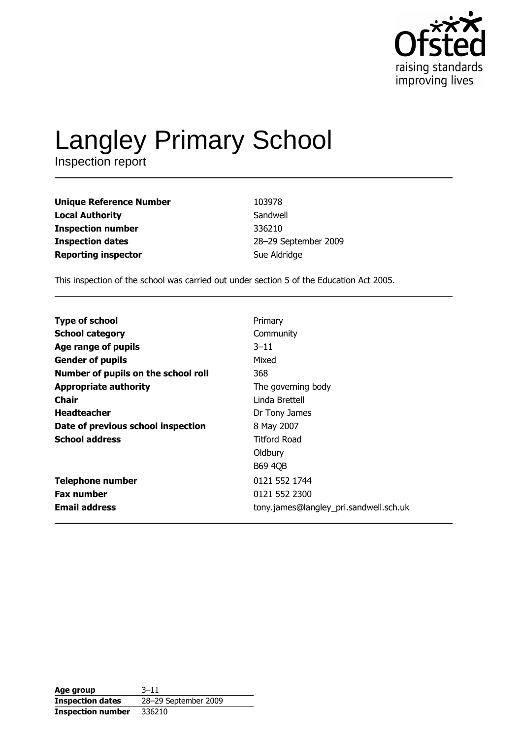

# Langley Primary School

| Unique Reference Number    | 103978               |
|----------------------------|----------------------|
| Local Authority            | Sandwell             |
| Inspection number          | 336210               |
| <b>Inspection dates</b>    | 28-29 September 2009 |
| <b>Reporting inspector</b> | Sue Aldridge         |
|                            |                      |

This inspection of the school was carried out under section 5 of the Education Act 2005.

| <b>Type of school</b>               | Primary                                |
|-------------------------------------|----------------------------------------|
| <b>School category</b>              | Community                              |
| Age range of pupils                 | $3 - 11$                               |
| <b>Gender of pupils</b>             | Mixed                                  |
| Number of pupils on the school roll | 368                                    |
| <b>Appropriate authority</b>        | The governing body                     |
| Chair                               | Linda Brettell                         |
| <b>Headteacher</b>                  | Dr Tony James                          |
| Date of previous school inspection  | 8 May 2007                             |
| <b>School address</b>               | <b>Titford Road</b>                    |
|                                     | Oldbury                                |
|                                     | <b>B69 4QB</b>                         |
| <b>Telephone number</b>             | 0121 552 1744                          |
| <b>Fax number</b>                   | 0121 552 2300                          |
| <b>Email address</b>                | tony.james@langley_pri.sandwell.sch.uk |

| Age group                | $3 - 11$             |
|--------------------------|----------------------|
| <b>Inspection dates</b>  | 28-29 September 2009 |
| <b>Inspection number</b> | 336210               |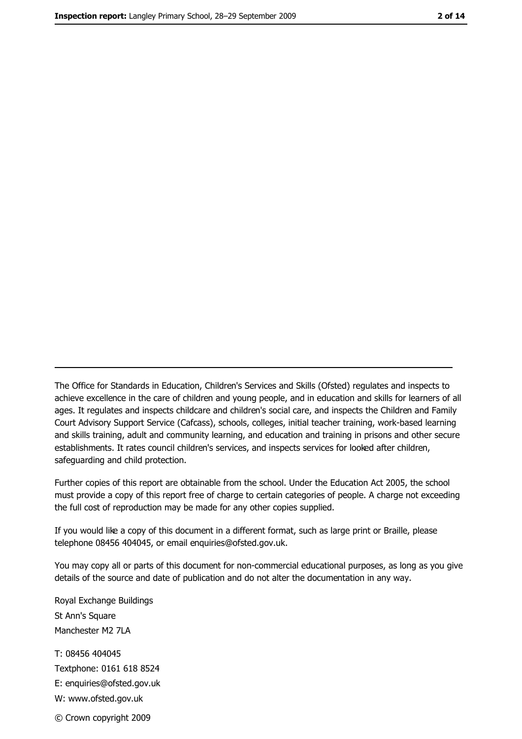The Office for Standards in Education, Children's Services and Skills (Ofsted) regulates and inspects to achieve excellence in the care of children and young people, and in education and skills for learners of all ages. It regulates and inspects childcare and children's social care, and inspects the Children and Family Court Advisory Support Service (Cafcass), schools, colleges, initial teacher training, work-based learning and skills training, adult and community learning, and education and training in prisons and other secure establishments. It rates council children's services, and inspects services for looked after children, safequarding and child protection.

Further copies of this report are obtainable from the school. Under the Education Act 2005, the school must provide a copy of this report free of charge to certain categories of people. A charge not exceeding the full cost of reproduction may be made for any other copies supplied.

If you would like a copy of this document in a different format, such as large print or Braille, please telephone 08456 404045, or email enquiries@ofsted.gov.uk.

You may copy all or parts of this document for non-commercial educational purposes, as long as you give details of the source and date of publication and do not alter the documentation in any way.

Royal Exchange Buildings St Ann's Square Manchester M2 7LA T: 08456 404045 Textphone: 0161 618 8524 E: enquiries@ofsted.gov.uk W: www.ofsted.gov.uk © Crown copyright 2009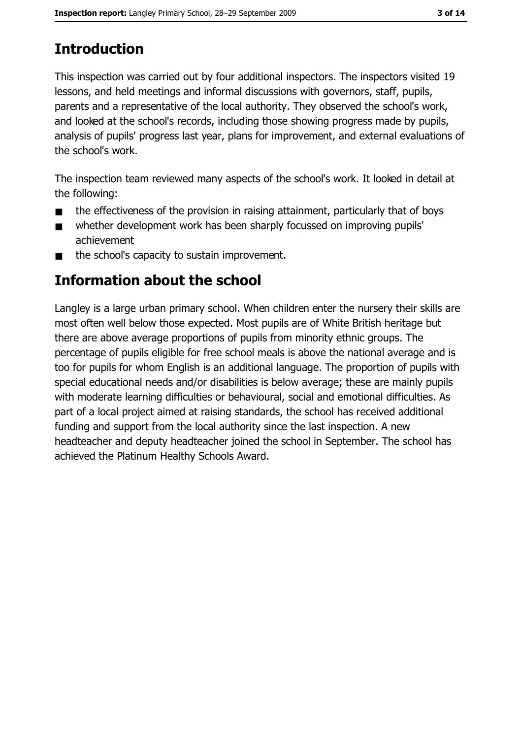# **Introduction**

This inspection was carried out by four additional inspectors. The inspectors visited 19 lessons, and held meetings and informal discussions with governors, staff, pupils, parents and a representative of the local authority. They observed the school's work, and looked at the school's records, including those showing progress made by pupils, analysis of pupils' progress last year, plans for improvement, and external evaluations of the school's work.

The inspection team reviewed many aspects of the school's work. It looked in detail at the following:

- the effectiveness of the provision in raising attainment, particularly that of boys  $\blacksquare$
- whether development work has been sharply focussed on improving pupils'  $\blacksquare$ achievement
- the school's capacity to sustain improvement.  $\blacksquare$

# **Information about the school**

Langley is a large urban primary school. When children enter the nursery their skills are most often well below those expected. Most pupils are of White British heritage but there are above average proportions of pupils from minority ethnic groups. The percentage of pupils eligible for free school meals is above the national average and is too for pupils for whom English is an additional language. The proportion of pupils with special educational needs and/or disabilities is below average; these are mainly pupils with moderate learning difficulties or behavioural, social and emotional difficulties. As part of a local project aimed at raising standards, the school has received additional funding and support from the local authority since the last inspection. A new headteacher and deputy headteacher joined the school in September. The school has achieved the Platinum Healthy Schools Award.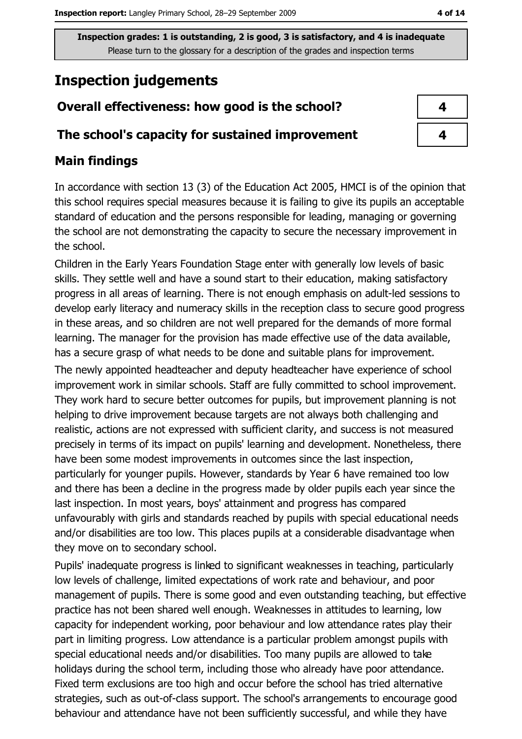# **Inspection judgements**

## Overall effectiveness: how good is the school?

#### The school's capacity for sustained improvement

## **Main findings**

In accordance with section 13 (3) of the Education Act 2005, HMCI is of the opinion that this school requires special measures because it is failing to give its pupils an acceptable standard of education and the persons responsible for leading, managing or governing the school are not demonstrating the capacity to secure the necessary improvement in the school.

Children in the Early Years Foundation Stage enter with generally low levels of basic skills. They settle well and have a sound start to their education, making satisfactory progress in all areas of learning. There is not enough emphasis on adult-led sessions to develop early literacy and numeracy skills in the reception class to secure good progress in these areas, and so children are not well prepared for the demands of more formal learning. The manager for the provision has made effective use of the data available, has a secure grasp of what needs to be done and suitable plans for improvement. The newly appointed headteacher and deputy headteacher have experience of school improvement work in similar schools. Staff are fully committed to school improvement. They work hard to secure better outcomes for pupils, but improvement planning is not helping to drive improvement because targets are not always both challenging and realistic, actions are not expressed with sufficient clarity, and success is not measured precisely in terms of its impact on pupils' learning and development. Nonetheless, there have been some modest improvements in outcomes since the last inspection, particularly for younger pupils. However, standards by Year 6 have remained too low and there has been a decline in the progress made by older pupils each year since the last inspection. In most years, boys' attainment and progress has compared unfavourably with girls and standards reached by pupils with special educational needs and/or disabilities are too low. This places pupils at a considerable disadvantage when they move on to secondary school.

Pupils' inadequate progress is linked to significant weaknesses in teaching, particularly low levels of challenge, limited expectations of work rate and behaviour, and poor management of pupils. There is some good and even outstanding teaching, but effective practice has not been shared well enough. Weaknesses in attitudes to learning, low capacity for independent working, poor behaviour and low attendance rates play their part in limiting progress. Low attendance is a particular problem amongst pupils with special educational needs and/or disabilities. Too many pupils are allowed to take holidays during the school term, including those who already have poor attendance. Fixed term exclusions are too high and occur before the school has tried alternative strategies, such as out-of-class support. The school's arrangements to encourage good behaviour and attendance have not been sufficiently successful, and while they have

| 4 |
|---|
| 4 |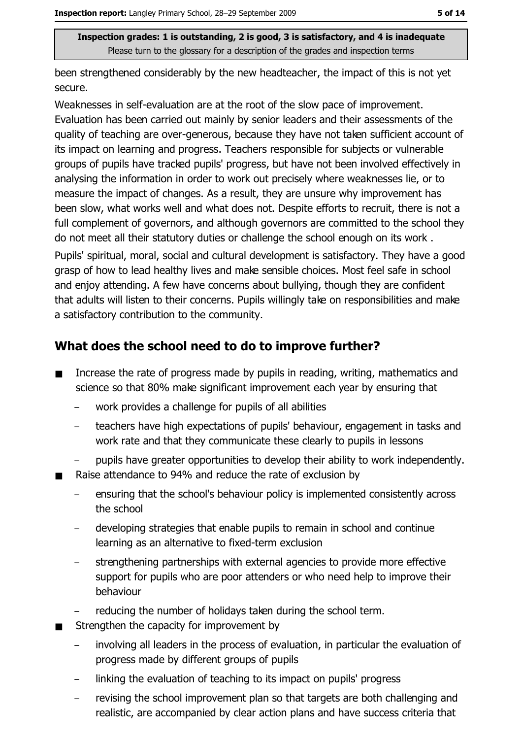been strengthened considerably by the new headteacher, the impact of this is not yet secure.

Weaknesses in self-evaluation are at the root of the slow pace of improvement. Evaluation has been carried out mainly by senior leaders and their assessments of the quality of teaching are over-generous, because they have not taken sufficient account of its impact on learning and progress. Teachers responsible for subjects or vulnerable groups of pupils have tracked pupils' progress, but have not been involved effectively in analysing the information in order to work out precisely where weaknesses lie, or to measure the impact of changes. As a result, they are unsure why improvement has been slow, what works well and what does not. Despite efforts to recruit, there is not a full complement of governors, and although governors are committed to the school they do not meet all their statutory duties or challenge the school enough on its work. Pupils' spiritual, moral, social and cultural development is satisfactory. They have a good grasp of how to lead healthy lives and make sensible choices. Most feel safe in school and enjoy attending. A few have concerns about bullying, though they are confident that adults will listen to their concerns. Pupils willingly take on responsibilities and make a satisfactory contribution to the community.

## What does the school need to do to improve further?

- Increase the rate of progress made by pupils in reading, writing, mathematics and  $\blacksquare$ science so that 80% make significant improvement each year by ensuring that
	- work provides a challenge for pupils of all abilities
	- teachers have high expectations of pupils' behaviour, engagement in tasks and work rate and that they communicate these clearly to pupils in lessons
	- pupils have greater opportunities to develop their ability to work independently.
- Raise attendance to 94% and reduce the rate of exclusion by
	- ensuring that the school's behaviour policy is implemented consistently across  $\overline{\phantom{a}}$ the school
	- developing strategies that enable pupils to remain in school and continue learning as an alternative to fixed-term exclusion
	- strengthening partnerships with external agencies to provide more effective support for pupils who are poor attenders or who need help to improve their behaviour
	- reducing the number of holidays taken during the school term.
- Strengthen the capacity for improvement by  $\blacksquare$ 
	- involving all leaders in the process of evaluation, in particular the evaluation of progress made by different groups of pupils
	- linking the evaluation of teaching to its impact on pupils' progress
	- revising the school improvement plan so that targets are both challenging and realistic, are accompanied by clear action plans and have success criteria that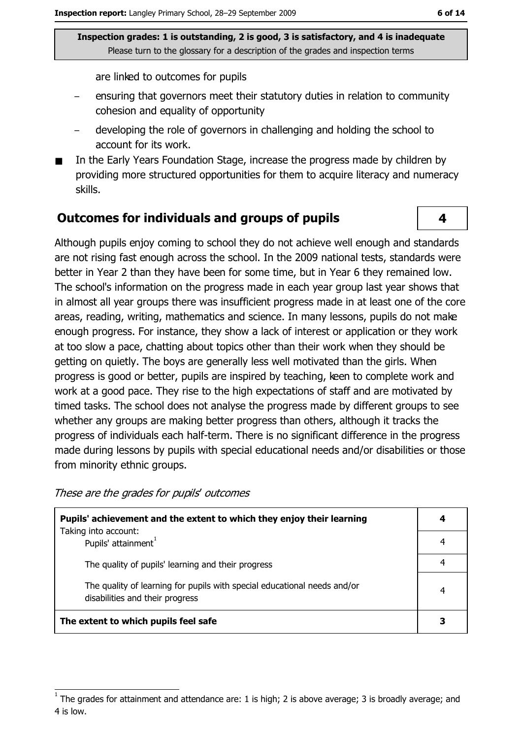are linked to outcomes for pupils

- ensuring that governors meet their statutory duties in relation to community cohesion and equality of opportunity
- developing the role of governors in challenging and holding the school to account for its work.
- In the Early Years Foundation Stage, increase the progress made by children by providing more structured opportunities for them to acquire literacy and numeracy skills.

#### Outcomes for individuals and groups of pupils

Although pupils enjoy coming to school they do not achieve well enough and standards are not rising fast enough across the school. In the 2009 national tests, standards were better in Year 2 than they have been for some time, but in Year 6 they remained low. The school's information on the progress made in each year group last year shows that in almost all year groups there was insufficient progress made in at least one of the core areas, reading, writing, mathematics and science. In many lessons, pupils do not make enough progress. For instance, they show a lack of interest or application or they work at too slow a pace, chatting about topics other than their work when they should be getting on quietly. The boys are generally less well motivated than the girls. When progress is good or better, pupils are inspired by teaching, keen to complete work and work at a good pace. They rise to the high expectations of staff and are motivated by timed tasks. The school does not analyse the progress made by different groups to see whether any groups are making better progress than others, although it tracks the progress of individuals each half-term. There is no significant difference in the progress made during lessons by pupils with special educational needs and/or disabilities or those from minority ethnic groups.

These are the grades for pupils' outcomes

| Pupils' achievement and the extent to which they enjoy their learning                                       |  |  |
|-------------------------------------------------------------------------------------------------------------|--|--|
| Taking into account:<br>Pupils' attainment <sup>1</sup>                                                     |  |  |
| The quality of pupils' learning and their progress                                                          |  |  |
| The quality of learning for pupils with special educational needs and/or<br>disabilities and their progress |  |  |
| The extent to which pupils feel safe                                                                        |  |  |

4

The grades for attainment and attendance are: 1 is high; 2 is above average; 3 is broadly average; and 4 is low.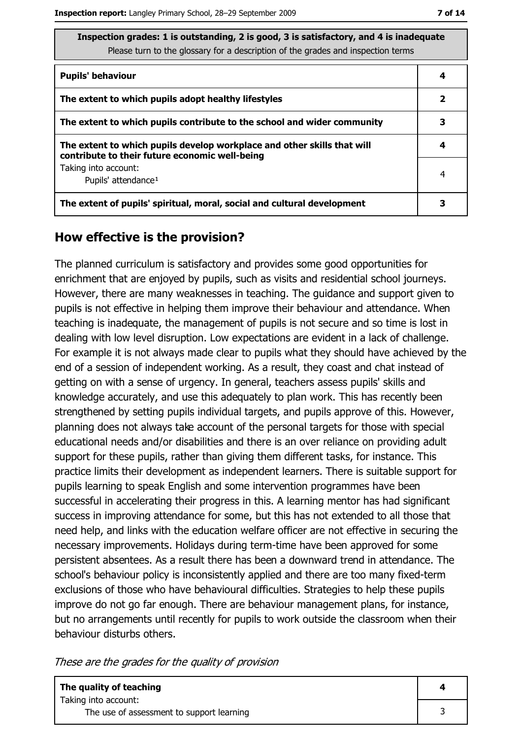| Inspection grades: 1 is outstanding, 2 is good, 3 is satisfactory, and 4 is inadequate |  |
|----------------------------------------------------------------------------------------|--|
| Please turn to the glossary for a description of the grades and inspection terms       |  |

| <b>Pupils' behaviour</b>                                                                                                  | 4 |
|---------------------------------------------------------------------------------------------------------------------------|---|
| The extent to which pupils adopt healthy lifestyles                                                                       | 2 |
| The extent to which pupils contribute to the school and wider community                                                   | 3 |
| The extent to which pupils develop workplace and other skills that will<br>contribute to their future economic well-being |   |
| Taking into account:<br>Pupils' attendance <sup>1</sup>                                                                   | 4 |
| The extent of pupils' spiritual, moral, social and cultural development                                                   |   |

#### How effective is the provision?

The planned curriculum is satisfactory and provides some good opportunities for enrichment that are enjoyed by pupils, such as visits and residential school journeys. However, there are many weaknesses in teaching. The quidance and support given to pupils is not effective in helping them improve their behaviour and attendance. When teaching is inadequate, the management of pupils is not secure and so time is lost in dealing with low level disruption. Low expectations are evident in a lack of challenge. For example it is not always made clear to pupils what they should have achieved by the end of a session of independent working. As a result, they coast and chat instead of getting on with a sense of urgency. In general, teachers assess pupils' skills and knowledge accurately, and use this adequately to plan work. This has recently been strengthened by setting pupils individual targets, and pupils approve of this. However, planning does not always take account of the personal targets for those with special educational needs and/or disabilities and there is an over reliance on providing adult support for these pupils, rather than giving them different tasks, for instance. This practice limits their development as independent learners. There is suitable support for pupils learning to speak English and some intervention programmes have been successful in accelerating their progress in this. A learning mentor has had significant success in improving attendance for some, but this has not extended to all those that need help, and links with the education welfare officer are not effective in securing the necessary improvements. Holidays during term-time have been approved for some persistent absentees. As a result there has been a downward trend in attendance. The school's behaviour policy is inconsistently applied and there are too many fixed-term exclusions of those who have behavioural difficulties. Strategies to help these pupils improve do not go far enough. There are behaviour management plans, for instance, but no arrangements until recently for pupils to work outside the classroom when their behaviour disturbs others.

These are the grades for the quality of provision

3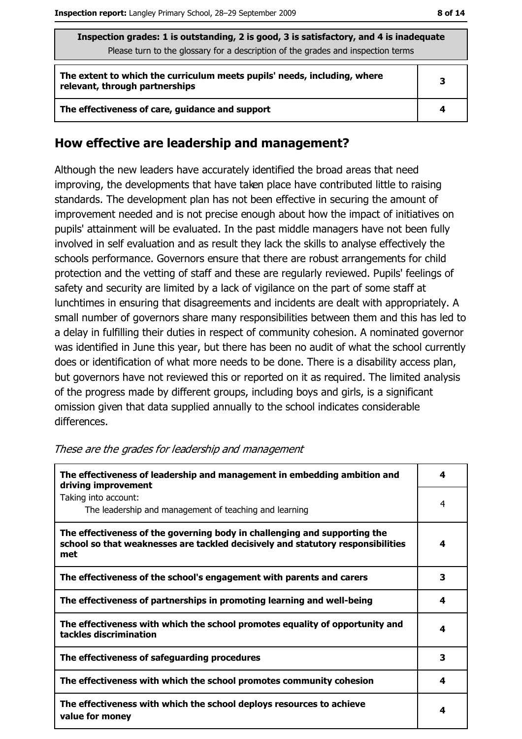| Inspection grades: 1 is outstanding, 2 is good, 3 is satisfactory, and 4 is inadequate<br>Please turn to the glossary for a description of the grades and inspection terms |   |  |
|----------------------------------------------------------------------------------------------------------------------------------------------------------------------------|---|--|
| The extent to which the curriculum meets pupils' needs, including, where<br>relevant, through partnerships                                                                 | З |  |
| The effectiveness of care, guidance and support                                                                                                                            |   |  |

#### How effective are leadership and management?

Although the new leaders have accurately identified the broad areas that need improving, the developments that have taken place have contributed little to raising standards. The development plan has not been effective in securing the amount of improvement needed and is not precise enough about how the impact of initiatives on pupils' attainment will be evaluated. In the past middle managers have not been fully involved in self evaluation and as result they lack the skills to analyse effectively the schools performance. Governors ensure that there are robust arrangements for child protection and the vetting of staff and these are regularly reviewed. Pupils' feelings of safety and security are limited by a lack of vigilance on the part of some staff at lunchtimes in ensuring that disagreements and incidents are dealt with appropriately. A small number of governors share many responsibilities between them and this has led to a delay in fulfilling their duties in respect of community cohesion. A nominated governor was identified in June this year, but there has been no audit of what the school currently does or identification of what more needs to be done. There is a disability access plan, but governors have not reviewed this or reported on it as required. The limited analysis of the progress made by different groups, including boys and girls, is a significant omission given that data supplied annually to the school indicates considerable differences.

| The effectiveness of leadership and management in embedding ambition and<br>driving improvement                                                                     |   |
|---------------------------------------------------------------------------------------------------------------------------------------------------------------------|---|
| Taking into account:<br>The leadership and management of teaching and learning                                                                                      | 4 |
| The effectiveness of the governing body in challenging and supporting the<br>school so that weaknesses are tackled decisively and statutory responsibilities<br>met | 4 |
| The effectiveness of the school's engagement with parents and carers                                                                                                | з |
| The effectiveness of partnerships in promoting learning and well-being                                                                                              | 4 |
| The effectiveness with which the school promotes equality of opportunity and<br>tackles discrimination                                                              | 4 |
| The effectiveness of safeguarding procedures                                                                                                                        | з |
| The effectiveness with which the school promotes community cohesion                                                                                                 | 4 |
| The effectiveness with which the school deploys resources to achieve<br>value for money                                                                             | 4 |

These are the grades for leadership and management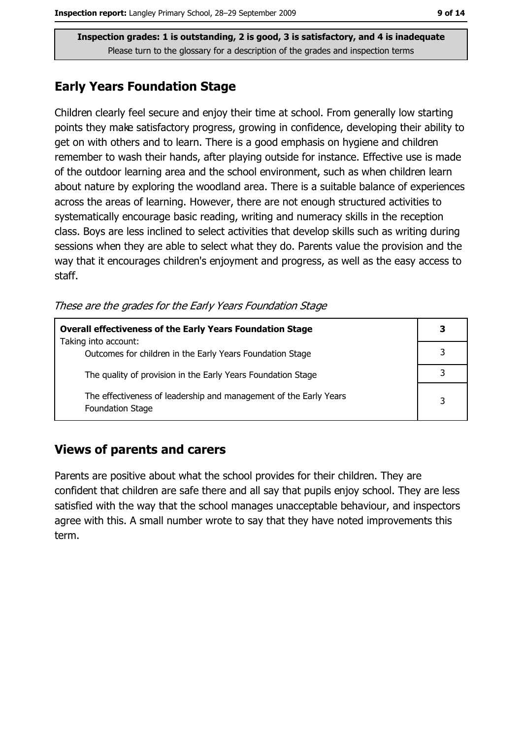### **Early Years Foundation Stage**

Children clearly feel secure and enjoy their time at school. From generally low starting points they make satisfactory progress, growing in confidence, developing their ability to get on with others and to learn. There is a good emphasis on hygiene and children remember to wash their hands, after playing outside for instance. Effective use is made of the outdoor learning area and the school environment, such as when children learn about nature by exploring the woodland area. There is a suitable balance of experiences across the areas of learning. However, there are not enough structured activities to systematically encourage basic reading, writing and numeracy skills in the reception class. Boys are less inclined to select activities that develop skills such as writing during sessions when they are able to select what they do. Parents value the provision and the way that it encourages children's enjoyment and progress, as well as the easy access to staff.

These are the grades for the Early Years Foundation Stage

| <b>Overall effectiveness of the Early Years Foundation Stage</b><br>Taking into account:     | 3 |
|----------------------------------------------------------------------------------------------|---|
| Outcomes for children in the Early Years Foundation Stage                                    |   |
| The quality of provision in the Early Years Foundation Stage                                 |   |
| The effectiveness of leadership and management of the Early Years<br><b>Foundation Stage</b> | 3 |

#### **Views of parents and carers**

Parents are positive about what the school provides for their children. They are confident that children are safe there and all say that pupils enjoy school. They are less satisfied with the way that the school manages unacceptable behaviour, and inspectors agree with this. A small number wrote to say that they have noted improvements this term.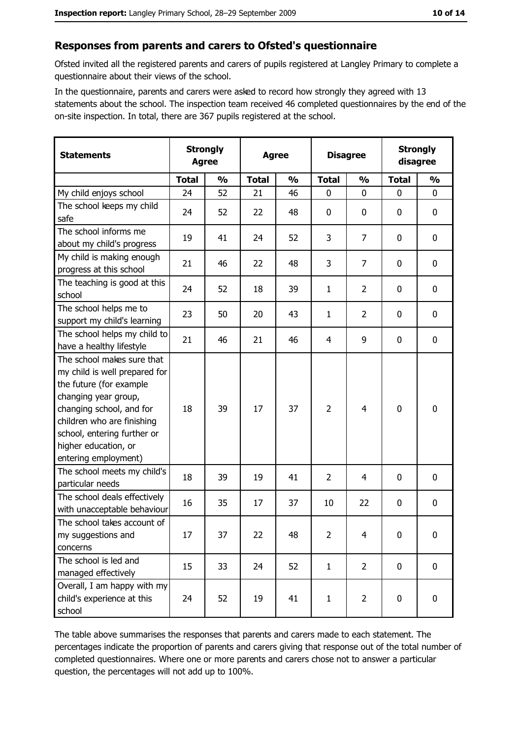#### Responses from parents and carers to Ofsted's questionnaire

Ofsted invited all the registered parents and carers of pupils registered at Langley Primary to complete a questionnaire about their views of the school.

In the questionnaire, parents and carers were asked to record how strongly they agreed with 13 statements about the school. The inspection team received 46 completed questionnaires by the end of the on-site inspection. In total, there are 367 pupils registered at the school.

| <b>Statements</b>                                                                                                                                                                                                                                       |              | <b>Strongly</b><br><b>Agree</b><br><b>Agree</b> |              | <b>Disagree</b> |                |                | <b>Strongly</b><br>disagree |               |
|---------------------------------------------------------------------------------------------------------------------------------------------------------------------------------------------------------------------------------------------------------|--------------|-------------------------------------------------|--------------|-----------------|----------------|----------------|-----------------------------|---------------|
|                                                                                                                                                                                                                                                         | <b>Total</b> | $\frac{0}{0}$                                   | <b>Total</b> | $\frac{0}{0}$   | <b>Total</b>   | $\frac{0}{0}$  | <b>Total</b>                | $\frac{0}{0}$ |
| My child enjoys school                                                                                                                                                                                                                                  | 24           | 52                                              | 21           | 46              | $\mathbf 0$    | 0              | $\mathbf{0}$                | 0             |
| The school keeps my child<br>safe                                                                                                                                                                                                                       | 24           | 52                                              | 22           | 48              | $\mathbf 0$    | 0              | 0                           | 0             |
| The school informs me<br>about my child's progress                                                                                                                                                                                                      | 19           | 41                                              | 24           | 52              | $\overline{3}$ | 7              | $\mathbf{0}$                | 0             |
| My child is making enough<br>progress at this school                                                                                                                                                                                                    | 21           | 46                                              | 22           | 48              | 3              | 7              | 0                           | 0             |
| The teaching is good at this<br>school                                                                                                                                                                                                                  | 24           | 52                                              | 18           | 39              | 1              | $\overline{2}$ | 0                           | 0             |
| The school helps me to<br>support my child's learning                                                                                                                                                                                                   | 23           | 50                                              | 20           | 43              | $\mathbf{1}$   | $\overline{2}$ | 0                           | 0             |
| The school helps my child to<br>have a healthy lifestyle                                                                                                                                                                                                | 21           | 46                                              | 21           | 46              | $\overline{4}$ | 9              | 0                           | 0             |
| The school makes sure that<br>my child is well prepared for<br>the future (for example<br>changing year group,<br>changing school, and for<br>children who are finishing<br>school, entering further or<br>higher education, or<br>entering employment) | 18           | 39                                              | 17           | 37              | $\overline{2}$ | 4              | 0                           | 0             |
| The school meets my child's<br>particular needs                                                                                                                                                                                                         | 18           | 39                                              | 19           | 41              | $\overline{2}$ | 4              | 0                           | 0             |
| The school deals effectively<br>with unacceptable behaviour                                                                                                                                                                                             | 16           | 35                                              | 17           | 37              | 10             | 22             | 0                           | 0             |
| The school takes account of<br>my suggestions and<br>concerns                                                                                                                                                                                           | 17           | 37                                              | 22           | 48              | $\overline{2}$ | 4              | 0                           | 0             |
| The school is led and<br>managed effectively                                                                                                                                                                                                            | 15           | 33                                              | 24           | 52              | $\mathbf{1}$   | $\overline{2}$ | 0                           | 0             |
| Overall, I am happy with my<br>child's experience at this<br>school                                                                                                                                                                                     | 24           | 52                                              | 19           | 41              | $\mathbf{1}$   | $\overline{2}$ | 0                           | 0             |

The table above summarises the responses that parents and carers made to each statement. The percentages indicate the proportion of parents and carers giving that response out of the total number of completed questionnaires. Where one or more parents and carers chose not to answer a particular question, the percentages will not add up to 100%.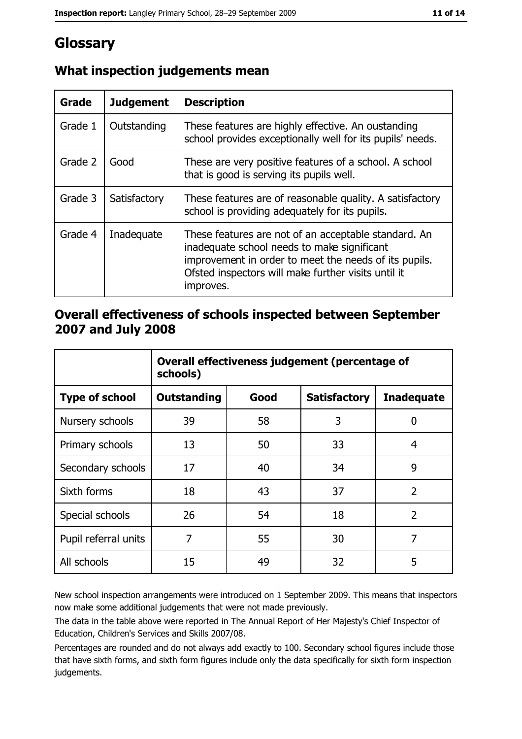# Glossary

| <b>Grade</b> | <b>Judgement</b> | <b>Description</b>                                                                                                                                                                                                               |
|--------------|------------------|----------------------------------------------------------------------------------------------------------------------------------------------------------------------------------------------------------------------------------|
| Grade 1      | Outstanding      | These features are highly effective. An oustanding<br>school provides exceptionally well for its pupils' needs.                                                                                                                  |
| Grade 2      | Good             | These are very positive features of a school. A school<br>that is good is serving its pupils well.                                                                                                                               |
| Grade 3      | Satisfactory     | These features are of reasonable quality. A satisfactory<br>school is providing adequately for its pupils.                                                                                                                       |
| Grade 4      | Inadequate       | These features are not of an acceptable standard. An<br>inadequate school needs to make significant<br>improvement in order to meet the needs of its pupils.<br>Ofsted inspectors will make further visits until it<br>improves. |

## What inspection judgements mean

### Overall effectiveness of schools inspected between September 2007 and July 2008

|                       | Overall effectiveness judgement (percentage of<br>schools) |      |                     |                   |
|-----------------------|------------------------------------------------------------|------|---------------------|-------------------|
| <b>Type of school</b> | <b>Outstanding</b>                                         | Good | <b>Satisfactory</b> | <b>Inadequate</b> |
| Nursery schools       | 39                                                         | 58   | 3                   | 0                 |
| Primary schools       | 13                                                         | 50   | 33                  | 4                 |
| Secondary schools     | 17                                                         | 40   | 34                  | 9                 |
| Sixth forms           | 18                                                         | 43   | 37                  | $\overline{2}$    |
| Special schools       | 26                                                         | 54   | 18                  | $\overline{2}$    |
| Pupil referral units  | 7                                                          | 55   | 30                  | 7                 |
| All schools           | 15                                                         | 49   | 32                  | 5                 |

New school inspection arrangements were introduced on 1 September 2009. This means that inspectors now make some additional judgements that were not made previously.

The data in the table above were reported in The Annual Report of Her Majesty's Chief Inspector of Education, Children's Services and Skills 2007/08.

Percentages are rounded and do not always add exactly to 100. Secondary school figures include those that have sixth forms, and sixth form figures include only the data specifically for sixth form inspection judgements.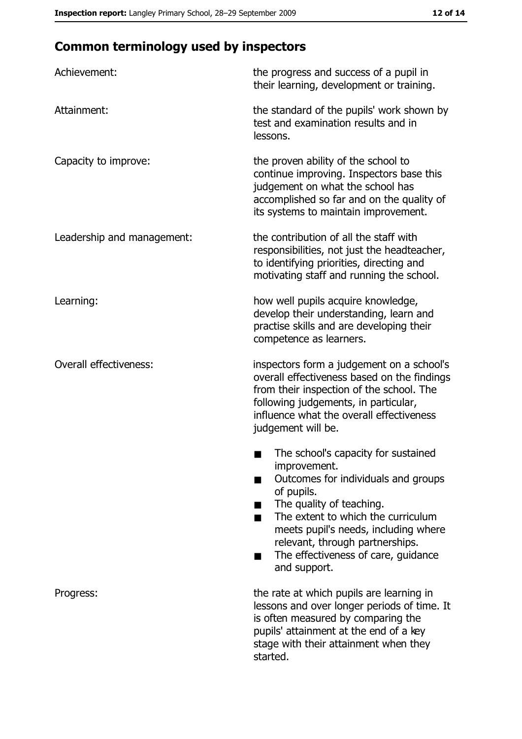# **Common terminology used by inspectors**

| Achievement:                  | the progress and success of a pupil in<br>their learning, development or training.                                                                                                                                                                                                                           |  |  |
|-------------------------------|--------------------------------------------------------------------------------------------------------------------------------------------------------------------------------------------------------------------------------------------------------------------------------------------------------------|--|--|
| Attainment:                   | the standard of the pupils' work shown by<br>test and examination results and in<br>lessons.                                                                                                                                                                                                                 |  |  |
| Capacity to improve:          | the proven ability of the school to<br>continue improving. Inspectors base this<br>judgement on what the school has<br>accomplished so far and on the quality of<br>its systems to maintain improvement.                                                                                                     |  |  |
| Leadership and management:    | the contribution of all the staff with<br>responsibilities, not just the headteacher,<br>to identifying priorities, directing and<br>motivating staff and running the school.                                                                                                                                |  |  |
| Learning:                     | how well pupils acquire knowledge,<br>develop their understanding, learn and<br>practise skills and are developing their<br>competence as learners.                                                                                                                                                          |  |  |
| <b>Overall effectiveness:</b> | inspectors form a judgement on a school's<br>overall effectiveness based on the findings<br>from their inspection of the school. The<br>following judgements, in particular,<br>influence what the overall effectiveness<br>judgement will be.                                                               |  |  |
|                               | The school's capacity for sustained<br>improvement.<br>Outcomes for individuals and groups<br>of pupils.<br>The quality of teaching.<br>The extent to which the curriculum<br>meets pupil's needs, including where<br>relevant, through partnerships.<br>The effectiveness of care, guidance<br>and support. |  |  |
| Progress:                     | the rate at which pupils are learning in<br>lessons and over longer periods of time. It<br>is often measured by comparing the<br>pupils' attainment at the end of a key<br>stage with their attainment when they<br>started.                                                                                 |  |  |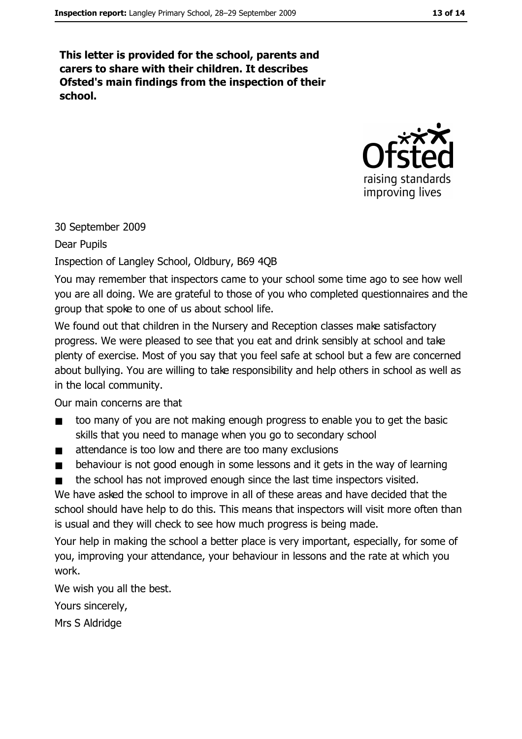This letter is provided for the school, parents and carers to share with their children. It describes Ofsted's main findings from the inspection of their school.



30 September 2009

Dear Pupils

Inspection of Langley School, Oldbury, B69 4QB

You may remember that inspectors came to your school some time ago to see how well you are all doing. We are grateful to those of you who completed questionnaires and the group that spoke to one of us about school life.

We found out that children in the Nursery and Reception classes make satisfactory progress. We were pleased to see that you eat and drink sensibly at school and take plenty of exercise. Most of you say that you feel safe at school but a few are concerned about bullying. You are willing to take responsibility and help others in school as well as in the local community.

Our main concerns are that

- too many of you are not making enough progress to enable you to get the basic  $\blacksquare$ skills that you need to manage when you go to secondary school
- attendance is too low and there are too many exclusions  $\blacksquare$
- behaviour is not good enough in some lessons and it gets in the way of learning  $\blacksquare$
- the school has not improved enough since the last time inspectors visited.  $\blacksquare$

We have asked the school to improve in all of these areas and have decided that the school should have help to do this. This means that inspectors will visit more often than is usual and they will check to see how much progress is being made.

Your help in making the school a better place is very important, especially, for some of you, improving your attendance, your behaviour in lessons and the rate at which you work.

We wish you all the best.

Yours sincerely,

Mrs S Aldridge